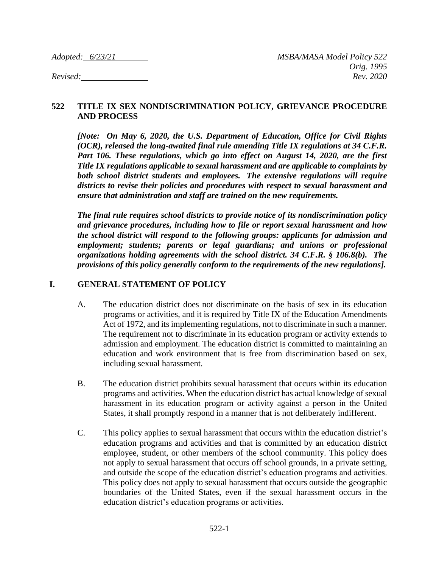#### **522 TITLE IX SEX NONDISCRIMINATION POLICY, GRIEVANCE PROCEDURE AND PROCESS**

*[Note: On May 6, 2020, the U.S. Department of Education, Office for Civil Rights (OCR), released the long-awaited final rule amending Title IX regulations at 34 C.F.R. Part 106. These regulations, which go into effect on August 14, 2020, are the first Title IX regulations applicable to sexual harassment and are applicable to complaints by both school district students and employees. The extensive regulations will require districts to revise their policies and procedures with respect to sexual harassment and ensure that administration and staff are trained on the new requirements.* 

*The final rule requires school districts to provide notice of its nondiscrimination policy and grievance procedures, including how to file or report sexual harassment and how the school district will respond to the following groups: applicants for admission and employment; students; parents or legal guardians; and unions or professional organizations holding agreements with the school district. 34 C.F.R. § 106.8(b). The provisions of this policy generally conform to the requirements of the new regulations].* 

#### **I. GENERAL STATEMENT OF POLICY**

- A. The education district does not discriminate on the basis of sex in its education programs or activities, and it is required by Title IX of the Education Amendments Act of 1972, and its implementing regulations, not to discriminate in such a manner. The requirement not to discriminate in its education program or activity extends to admission and employment. The education district is committed to maintaining an education and work environment that is free from discrimination based on sex, including sexual harassment.
- B. The education district prohibits sexual harassment that occurs within its education programs and activities. When the education district has actual knowledge of sexual harassment in its education program or activity against a person in the United States, it shall promptly respond in a manner that is not deliberately indifferent.
- C. This policy applies to sexual harassment that occurs within the education district's education programs and activities and that is committed by an education district employee, student, or other members of the school community. This policy does not apply to sexual harassment that occurs off school grounds, in a private setting, and outside the scope of the education district's education programs and activities. This policy does not apply to sexual harassment that occurs outside the geographic boundaries of the United States, even if the sexual harassment occurs in the education district's education programs or activities.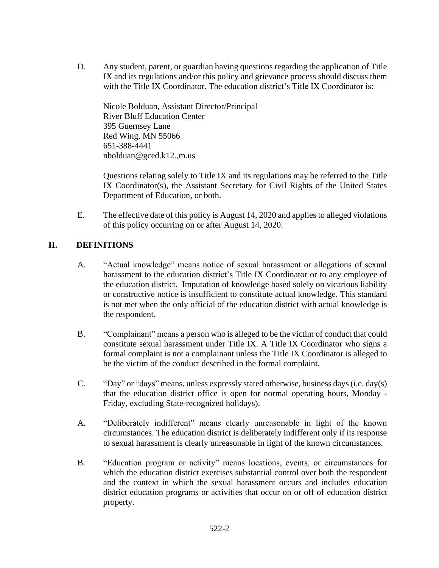D. Any student, parent, or guardian having questions regarding the application of Title IX and its regulations and/or this policy and grievance process should discuss them with the Title IX Coordinator. The education district's Title IX Coordinator is:

Nicole Bolduan, Assistant Director/Principal River Bluff Education Center 395 Guernsey Lane Red Wing, MN 55066 651-388-4441 nbolduan@gced.k12.,m.us

Questions relating solely to Title IX and its regulations may be referred to the Title IX Coordinator(s), the Assistant Secretary for Civil Rights of the United States Department of Education, or both.

E. The effective date of this policy is August 14, 2020 and applies to alleged violations of this policy occurring on or after August 14, 2020.

# **II. DEFINITIONS**

- A. "Actual knowledge" means notice of sexual harassment or allegations of sexual harassment to the education district's Title IX Coordinator or to any employee of the education district. Imputation of knowledge based solely on vicarious liability or constructive notice is insufficient to constitute actual knowledge. This standard is not met when the only official of the education district with actual knowledge is the respondent.
- B. "Complainant" means a person who is alleged to be the victim of conduct that could constitute sexual harassment under Title IX. A Title IX Coordinator who signs a formal complaint is not a complainant unless the Title IX Coordinator is alleged to be the victim of the conduct described in the formal complaint.
- C. "Day" or "days" means, unless expressly stated otherwise, business days (i.e. day(s) that the education district office is open for normal operating hours, Monday - Friday, excluding State-recognized holidays).
- A. "Deliberately indifferent" means clearly unreasonable in light of the known circumstances. The education district is deliberately indifferent only if its response to sexual harassment is clearly unreasonable in light of the known circumstances.
- B. "Education program or activity" means locations, events, or circumstances for which the education district exercises substantial control over both the respondent and the context in which the sexual harassment occurs and includes education district education programs or activities that occur on or off of education district property.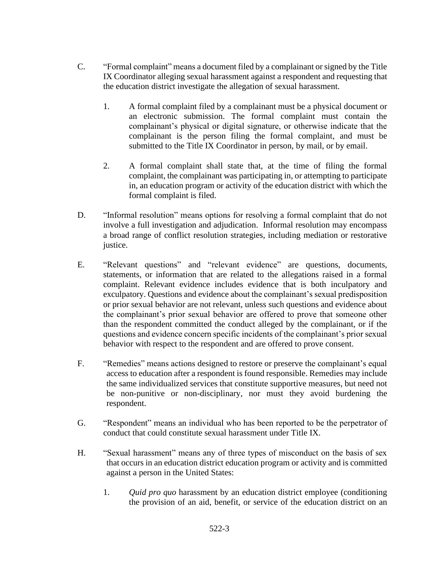- C. "Formal complaint" means a document filed by a complainant or signed by the Title IX Coordinator alleging sexual harassment against a respondent and requesting that the education district investigate the allegation of sexual harassment.
	- 1. A formal complaint filed by a complainant must be a physical document or an electronic submission. The formal complaint must contain the complainant's physical or digital signature, or otherwise indicate that the complainant is the person filing the formal complaint, and must be submitted to the Title IX Coordinator in person, by mail, or by email.
	- 2. A formal complaint shall state that, at the time of filing the formal complaint, the complainant was participating in, or attempting to participate in, an education program or activity of the education district with which the formal complaint is filed.
- D. "Informal resolution" means options for resolving a formal complaint that do not involve a full investigation and adjudication. Informal resolution may encompass a broad range of conflict resolution strategies, including mediation or restorative justice.
- E. "Relevant questions" and "relevant evidence" are questions, documents, statements, or information that are related to the allegations raised in a formal complaint. Relevant evidence includes evidence that is both inculpatory and exculpatory. Questions and evidence about the complainant's sexual predisposition or prior sexual behavior are not relevant, unless such questions and evidence about the complainant's prior sexual behavior are offered to prove that someone other than the respondent committed the conduct alleged by the complainant, or if the questions and evidence concern specific incidents of the complainant's prior sexual behavior with respect to the respondent and are offered to prove consent.
- F. "Remedies" means actions designed to restore or preserve the complainant's equal access to education after a respondent is found responsible. Remedies may include the same individualized services that constitute supportive measures, but need not be non-punitive or non-disciplinary, nor must they avoid burdening the respondent.
- G. "Respondent" means an individual who has been reported to be the perpetrator of conduct that could constitute sexual harassment under Title IX.
- H. "Sexual harassment" means any of three types of misconduct on the basis of sex that occurs in an education district education program or activity and is committed against a person in the United States:
	- 1. *Quid pro quo* harassment by an education district employee (conditioning the provision of an aid, benefit, or service of the education district on an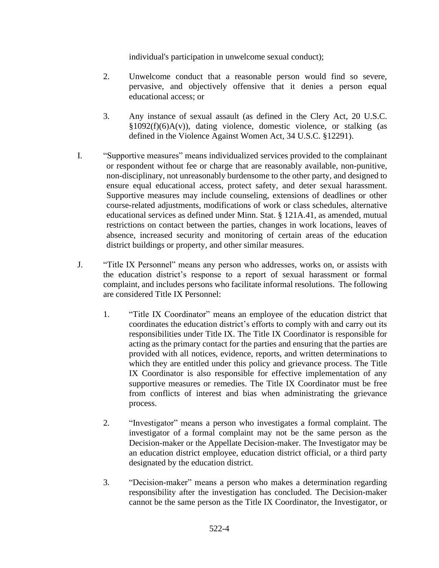individual's participation in unwelcome sexual conduct);

- 2. Unwelcome conduct that a reasonable person would find so severe, pervasive, and objectively offensive that it denies a person equal educational access; or
- 3. Any instance of sexual assault (as defined in the Clery Act, 20 U.S.C.  $§1092(f)(6)A(v)$ , dating violence, domestic violence, or stalking (as defined in the Violence Against Women Act, 34 U.S.C. §12291).
- I. "Supportive measures" means individualized services provided to the complainant or respondent without fee or charge that are reasonably available, non-punitive, non-disciplinary, not unreasonably burdensome to the other party, and designed to ensure equal educational access, protect safety, and deter sexual harassment. Supportive measures may include counseling, extensions of deadlines or other course-related adjustments, modifications of work or class schedules, alternative educational services as defined under Minn. Stat. § 121A.41, as amended, mutual restrictions on contact between the parties, changes in work locations, leaves of absence, increased security and monitoring of certain areas of the education district buildings or property, and other similar measures.
- J. "Title IX Personnel" means any person who addresses, works on, or assists with the education district's response to a report of sexual harassment or formal complaint, and includes persons who facilitate informal resolutions. The following are considered Title IX Personnel:
	- 1. "Title IX Coordinator" means an employee of the education district that coordinates the education district's efforts to comply with and carry out its responsibilities under Title IX. The Title IX Coordinator is responsible for acting as the primary contact for the parties and ensuring that the parties are provided with all notices, evidence, reports, and written determinations to which they are entitled under this policy and grievance process. The Title IX Coordinator is also responsible for effective implementation of any supportive measures or remedies. The Title IX Coordinator must be free from conflicts of interest and bias when administrating the grievance process.
	- 2. "Investigator" means a person who investigates a formal complaint. The investigator of a formal complaint may not be the same person as the Decision-maker or the Appellate Decision-maker. The Investigator may be an education district employee, education district official, or a third party designated by the education district.
	- 3. "Decision-maker" means a person who makes a determination regarding responsibility after the investigation has concluded. The Decision-maker cannot be the same person as the Title IX Coordinator, the Investigator, or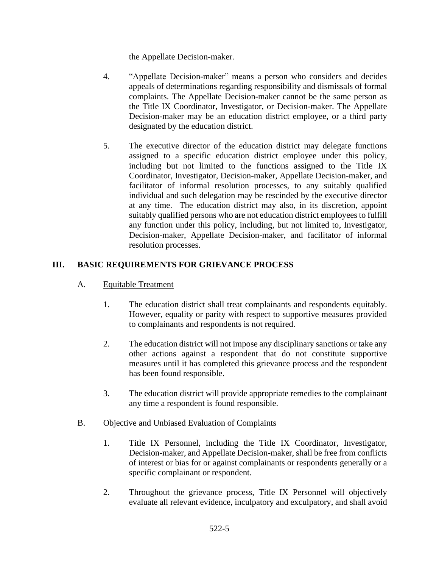the Appellate Decision-maker.

- 4. "Appellate Decision-maker" means a person who considers and decides appeals of determinations regarding responsibility and dismissals of formal complaints. The Appellate Decision-maker cannot be the same person as the Title IX Coordinator, Investigator, or Decision-maker. The Appellate Decision-maker may be an education district employee, or a third party designated by the education district.
- 5. The executive director of the education district may delegate functions assigned to a specific education district employee under this policy, including but not limited to the functions assigned to the Title IX Coordinator, Investigator, Decision-maker, Appellate Decision-maker, and facilitator of informal resolution processes, to any suitably qualified individual and such delegation may be rescinded by the executive director at any time. The education district may also, in its discretion, appoint suitably qualified persons who are not education district employees to fulfill any function under this policy, including, but not limited to, Investigator, Decision-maker, Appellate Decision-maker, and facilitator of informal resolution processes.

### **III. BASIC REQUIREMENTS FOR GRIEVANCE PROCESS**

- A. Equitable Treatment
	- 1. The education district shall treat complainants and respondents equitably. However, equality or parity with respect to supportive measures provided to complainants and respondents is not required.
	- 2. The education district will not impose any disciplinary sanctions or take any other actions against a respondent that do not constitute supportive measures until it has completed this grievance process and the respondent has been found responsible.
	- 3. The education district will provide appropriate remedies to the complainant any time a respondent is found responsible.
- B. Objective and Unbiased Evaluation of Complaints
	- 1. Title IX Personnel, including the Title IX Coordinator, Investigator, Decision-maker, and Appellate Decision-maker, shall be free from conflicts of interest or bias for or against complainants or respondents generally or a specific complainant or respondent.
	- 2. Throughout the grievance process, Title IX Personnel will objectively evaluate all relevant evidence, inculpatory and exculpatory, and shall avoid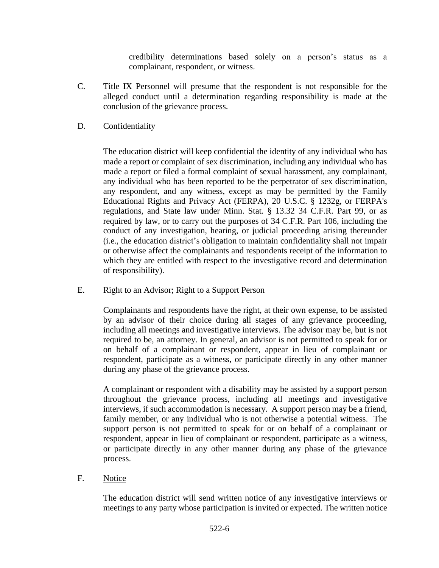credibility determinations based solely on a person's status as a complainant, respondent, or witness.

C. Title IX Personnel will presume that the respondent is not responsible for the alleged conduct until a determination regarding responsibility is made at the conclusion of the grievance process.

### D. Confidentiality

The education district will keep confidential the identity of any individual who has made a report or complaint of sex discrimination, including any individual who has made a report or filed a formal complaint of sexual harassment, any complainant, any individual who has been reported to be the perpetrator of sex discrimination, any respondent, and any witness, except as may be permitted by the Family Educational Rights and Privacy Act (FERPA), 20 U.S.C. § 1232g, or FERPA's regulations, and State law under Minn. Stat. § 13.32 34 C.F.R. Part 99, or as required by law, or to carry out the purposes of 34 C.F.R. Part 106, including the conduct of any investigation, hearing, or judicial proceeding arising thereunder (i.e., the education district's obligation to maintain confidentiality shall not impair or otherwise affect the complainants and respondents receipt of the information to which they are entitled with respect to the investigative record and determination of responsibility).

### E. Right to an Advisor; Right to a Support Person

Complainants and respondents have the right, at their own expense, to be assisted by an advisor of their choice during all stages of any grievance proceeding, including all meetings and investigative interviews. The advisor may be, but is not required to be, an attorney. In general, an advisor is not permitted to speak for or on behalf of a complainant or respondent, appear in lieu of complainant or respondent, participate as a witness, or participate directly in any other manner during any phase of the grievance process.

A complainant or respondent with a disability may be assisted by a support person throughout the grievance process, including all meetings and investigative interviews, if such accommodation is necessary. A support person may be a friend, family member, or any individual who is not otherwise a potential witness. The support person is not permitted to speak for or on behalf of a complainant or respondent, appear in lieu of complainant or respondent, participate as a witness, or participate directly in any other manner during any phase of the grievance process.

### F. Notice

The education district will send written notice of any investigative interviews or meetings to any party whose participation is invited or expected. The written notice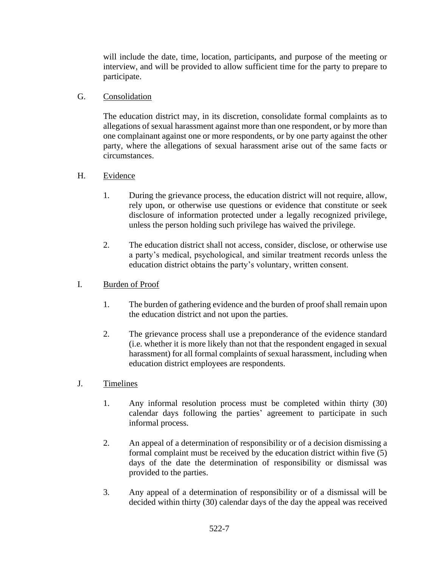will include the date, time, location, participants, and purpose of the meeting or interview, and will be provided to allow sufficient time for the party to prepare to participate.

### G. Consolidation

The education district may, in its discretion, consolidate formal complaints as to allegations of sexual harassment against more than one respondent, or by more than one complainant against one or more respondents, or by one party against the other party, where the allegations of sexual harassment arise out of the same facts or circumstances.

### H. Evidence

- 1. During the grievance process, the education district will not require, allow, rely upon, or otherwise use questions or evidence that constitute or seek disclosure of information protected under a legally recognized privilege, unless the person holding such privilege has waived the privilege.
- 2. The education district shall not access, consider, disclose, or otherwise use a party's medical, psychological, and similar treatment records unless the education district obtains the party's voluntary, written consent.

### I. Burden of Proof

- 1. The burden of gathering evidence and the burden of proof shall remain upon the education district and not upon the parties.
- 2. The grievance process shall use a preponderance of the evidence standard (i.e. whether it is more likely than not that the respondent engaged in sexual harassment) for all formal complaints of sexual harassment, including when education district employees are respondents.
- J. Timelines
	- 1. Any informal resolution process must be completed within thirty (30) calendar days following the parties' agreement to participate in such informal process.
	- 2. An appeal of a determination of responsibility or of a decision dismissing a formal complaint must be received by the education district within five (5) days of the date the determination of responsibility or dismissal was provided to the parties.
	- 3. Any appeal of a determination of responsibility or of a dismissal will be decided within thirty (30) calendar days of the day the appeal was received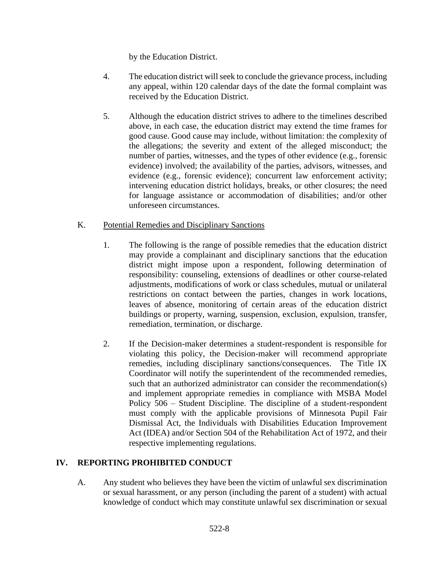by the Education District.

- 4. The education district will seek to conclude the grievance process, including any appeal, within 120 calendar days of the date the formal complaint was received by the Education District.
- 5. Although the education district strives to adhere to the timelines described above, in each case, the education district may extend the time frames for good cause. Good cause may include, without limitation: the complexity of the allegations; the severity and extent of the alleged misconduct; the number of parties, witnesses, and the types of other evidence (e.g., forensic evidence) involved; the availability of the parties, advisors, witnesses, and evidence (e.g., forensic evidence); concurrent law enforcement activity; intervening education district holidays, breaks, or other closures; the need for language assistance or accommodation of disabilities; and/or other unforeseen circumstances.
- K. Potential Remedies and Disciplinary Sanctions
	- 1. The following is the range of possible remedies that the education district may provide a complainant and disciplinary sanctions that the education district might impose upon a respondent, following determination of responsibility: counseling, extensions of deadlines or other course-related adjustments, modifications of work or class schedules, mutual or unilateral restrictions on contact between the parties, changes in work locations, leaves of absence, monitoring of certain areas of the education district buildings or property, warning, suspension, exclusion, expulsion, transfer, remediation, termination, or discharge.
	- 2. If the Decision-maker determines a student-respondent is responsible for violating this policy, the Decision-maker will recommend appropriate remedies, including disciplinary sanctions/consequences. The Title IX Coordinator will notify the superintendent of the recommended remedies, such that an authorized administrator can consider the recommendation(s) and implement appropriate remedies in compliance with MSBA Model Policy 506 – Student Discipline. The discipline of a student-respondent must comply with the applicable provisions of Minnesota Pupil Fair Dismissal Act, the Individuals with Disabilities Education Improvement Act (IDEA) and/or Section 504 of the Rehabilitation Act of 1972, and their respective implementing regulations.

# **IV. REPORTING PROHIBITED CONDUCT**

A. Any student who believes they have been the victim of unlawful sex discrimination or sexual harassment, or any person (including the parent of a student) with actual knowledge of conduct which may constitute unlawful sex discrimination or sexual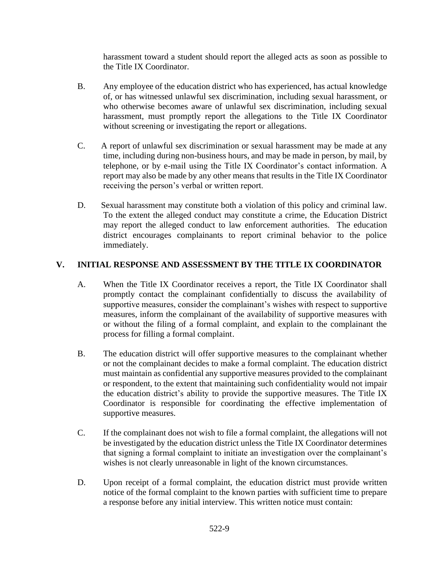harassment toward a student should report the alleged acts as soon as possible to the Title IX Coordinator.

- B. Any employee of the education district who has experienced, has actual knowledge of, or has witnessed unlawful sex discrimination, including sexual harassment, or who otherwise becomes aware of unlawful sex discrimination, including sexual harassment, must promptly report the allegations to the Title IX Coordinator without screening or investigating the report or allegations.
- C. A report of unlawful sex discrimination or sexual harassment may be made at any time, including during non-business hours, and may be made in person, by mail, by telephone, or by e-mail using the Title IX Coordinator's contact information. A report may also be made by any other means that results in the Title IX Coordinator receiving the person's verbal or written report.
- D. Sexual harassment may constitute both a violation of this policy and criminal law. To the extent the alleged conduct may constitute a crime, the Education District may report the alleged conduct to law enforcement authorities. The education district encourages complainants to report criminal behavior to the police immediately.

### **V. INITIAL RESPONSE AND ASSESSMENT BY THE TITLE IX COORDINATOR**

- A. When the Title IX Coordinator receives a report, the Title IX Coordinator shall promptly contact the complainant confidentially to discuss the availability of supportive measures, consider the complainant's wishes with respect to supportive measures, inform the complainant of the availability of supportive measures with or without the filing of a formal complaint, and explain to the complainant the process for filling a formal complaint.
- B. The education district will offer supportive measures to the complainant whether or not the complainant decides to make a formal complaint. The education district must maintain as confidential any supportive measures provided to the complainant or respondent, to the extent that maintaining such confidentiality would not impair the education district's ability to provide the supportive measures. The Title IX Coordinator is responsible for coordinating the effective implementation of supportive measures.
- C. If the complainant does not wish to file a formal complaint, the allegations will not be investigated by the education district unless the Title IX Coordinator determines that signing a formal complaint to initiate an investigation over the complainant's wishes is not clearly unreasonable in light of the known circumstances.
- D. Upon receipt of a formal complaint, the education district must provide written notice of the formal complaint to the known parties with sufficient time to prepare a response before any initial interview. This written notice must contain: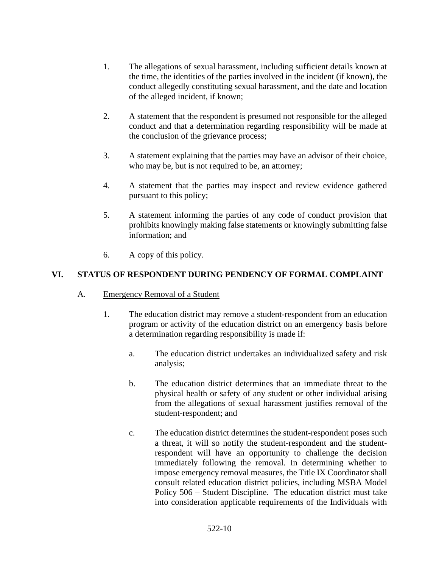- 1. The allegations of sexual harassment, including sufficient details known at the time, the identities of the parties involved in the incident (if known), the conduct allegedly constituting sexual harassment, and the date and location of the alleged incident, if known;
- 2. A statement that the respondent is presumed not responsible for the alleged conduct and that a determination regarding responsibility will be made at the conclusion of the grievance process;
- 3. A statement explaining that the parties may have an advisor of their choice, who may be, but is not required to be, an attorney;
- 4. A statement that the parties may inspect and review evidence gathered pursuant to this policy;
- 5. A statement informing the parties of any code of conduct provision that prohibits knowingly making false statements or knowingly submitting false information; and
- 6. A copy of this policy.

# **VI. STATUS OF RESPONDENT DURING PENDENCY OF FORMAL COMPLAINT**

- A. Emergency Removal of a Student
	- 1. The education district may remove a student-respondent from an education program or activity of the education district on an emergency basis before a determination regarding responsibility is made if:
		- a. The education district undertakes an individualized safety and risk analysis;
		- b. The education district determines that an immediate threat to the physical health or safety of any student or other individual arising from the allegations of sexual harassment justifies removal of the student-respondent; and
		- c. The education district determines the student-respondent poses such a threat, it will so notify the student-respondent and the studentrespondent will have an opportunity to challenge the decision immediately following the removal. In determining whether to impose emergency removal measures, the Title IX Coordinator shall consult related education district policies, including MSBA Model Policy 506 – Student Discipline. The education district must take into consideration applicable requirements of the Individuals with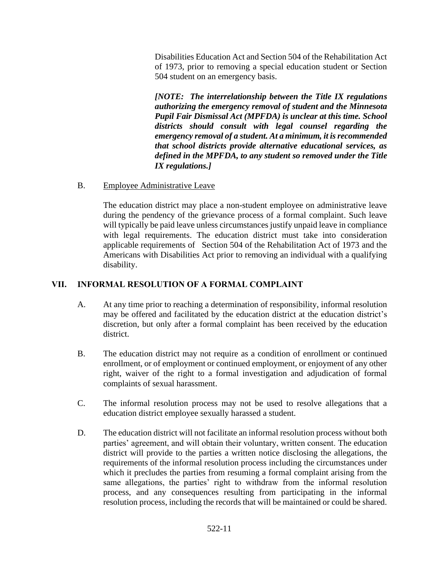Disabilities Education Act and Section 504 of the Rehabilitation Act of 1973, prior to removing a special education student or Section 504 student on an emergency basis.

*[NOTE: The interrelationship between the Title IX regulations authorizing the emergency removal of student and the Minnesota Pupil Fair Dismissal Act (MPFDA) is unclear at this time. School districts should consult with legal counsel regarding the emergency removal of a student. At a minimum, it is recommended that school districts provide alternative educational services, as defined in the MPFDA, to any student so removed under the Title IX regulations.]* 

B. Employee Administrative Leave

The education district may place a non-student employee on administrative leave during the pendency of the grievance process of a formal complaint. Such leave will typically be paid leave unless circumstances justify unpaid leave in compliance with legal requirements. The education district must take into consideration applicable requirements of Section 504 of the Rehabilitation Act of 1973 and the Americans with Disabilities Act prior to removing an individual with a qualifying disability.

# **VII. INFORMAL RESOLUTION OF A FORMAL COMPLAINT**

- A. At any time prior to reaching a determination of responsibility, informal resolution may be offered and facilitated by the education district at the education district's discretion, but only after a formal complaint has been received by the education district.
- B. The education district may not require as a condition of enrollment or continued enrollment, or of employment or continued employment, or enjoyment of any other right, waiver of the right to a formal investigation and adjudication of formal complaints of sexual harassment.
- C. The informal resolution process may not be used to resolve allegations that a education district employee sexually harassed a student.
- D. The education district will not facilitate an informal resolution process without both parties' agreement, and will obtain their voluntary, written consent. The education district will provide to the parties a written notice disclosing the allegations, the requirements of the informal resolution process including the circumstances under which it precludes the parties from resuming a formal complaint arising from the same allegations, the parties' right to withdraw from the informal resolution process, and any consequences resulting from participating in the informal resolution process, including the records that will be maintained or could be shared.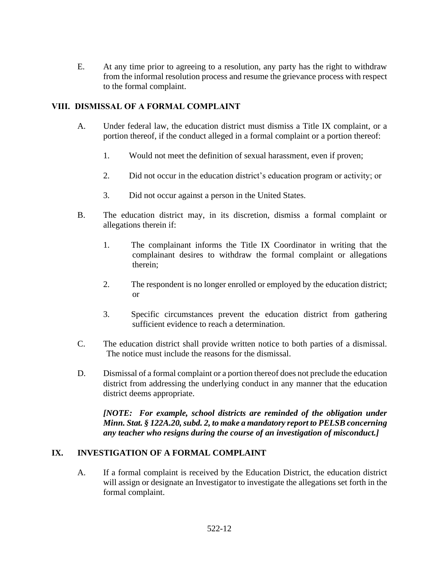E. At any time prior to agreeing to a resolution, any party has the right to withdraw from the informal resolution process and resume the grievance process with respect to the formal complaint.

### **VIII. DISMISSAL OF A FORMAL COMPLAINT**

- A. Under federal law, the education district must dismiss a Title IX complaint, or a portion thereof, if the conduct alleged in a formal complaint or a portion thereof:
	- 1. Would not meet the definition of sexual harassment, even if proven;
	- 2. Did not occur in the education district's education program or activity; or
	- 3. Did not occur against a person in the United States.
- B. The education district may, in its discretion, dismiss a formal complaint or allegations therein if:
	- 1. The complainant informs the Title IX Coordinator in writing that the complainant desires to withdraw the formal complaint or allegations therein;
	- 2. The respondent is no longer enrolled or employed by the education district; or
	- 3. Specific circumstances prevent the education district from gathering sufficient evidence to reach a determination.
- C. The education district shall provide written notice to both parties of a dismissal. The notice must include the reasons for the dismissal.
- D. Dismissal of a formal complaint or a portion thereof does not preclude the education district from addressing the underlying conduct in any manner that the education district deems appropriate.

*[NOTE: For example, school districts are reminded of the obligation under Minn. Stat. § 122A.20, subd. 2, to make a mandatory report to PELSB concerning any teacher who resigns during the course of an investigation of misconduct.]*

### **IX. INVESTIGATION OF A FORMAL COMPLAINT**

A. If a formal complaint is received by the Education District, the education district will assign or designate an Investigator to investigate the allegations set forth in the formal complaint.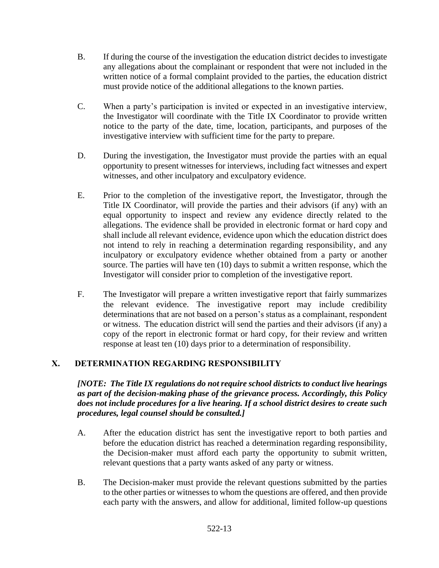- B. If during the course of the investigation the education district decides to investigate any allegations about the complainant or respondent that were not included in the written notice of a formal complaint provided to the parties, the education district must provide notice of the additional allegations to the known parties.
- C. When a party's participation is invited or expected in an investigative interview, the Investigator will coordinate with the Title IX Coordinator to provide written notice to the party of the date, time, location, participants, and purposes of the investigative interview with sufficient time for the party to prepare.
- D. During the investigation, the Investigator must provide the parties with an equal opportunity to present witnesses for interviews, including fact witnesses and expert witnesses, and other inculpatory and exculpatory evidence.
- E. Prior to the completion of the investigative report, the Investigator, through the Title IX Coordinator, will provide the parties and their advisors (if any) with an equal opportunity to inspect and review any evidence directly related to the allegations. The evidence shall be provided in electronic format or hard copy and shall include all relevant evidence, evidence upon which the education district does not intend to rely in reaching a determination regarding responsibility, and any inculpatory or exculpatory evidence whether obtained from a party or another source. The parties will have ten (10) days to submit a written response, which the Investigator will consider prior to completion of the investigative report.
- F. The Investigator will prepare a written investigative report that fairly summarizes the relevant evidence. The investigative report may include credibility determinations that are not based on a person's status as a complainant, respondent or witness. The education district will send the parties and their advisors (if any) a copy of the report in electronic format or hard copy, for their review and written response at least ten (10) days prior to a determination of responsibility.

# **X. DETERMINATION REGARDING RESPONSIBILITY**

*[NOTE: The Title IX regulations do not require school districts to conduct live hearings as part of the decision-making phase of the grievance process. Accordingly, this Policy does not include procedures for a live hearing. If a school district desires to create such procedures, legal counsel should be consulted.]*

- A. After the education district has sent the investigative report to both parties and before the education district has reached a determination regarding responsibility, the Decision-maker must afford each party the opportunity to submit written, relevant questions that a party wants asked of any party or witness.
- B. The Decision-maker must provide the relevant questions submitted by the parties to the other parties or witnesses to whom the questions are offered, and then provide each party with the answers, and allow for additional, limited follow-up questions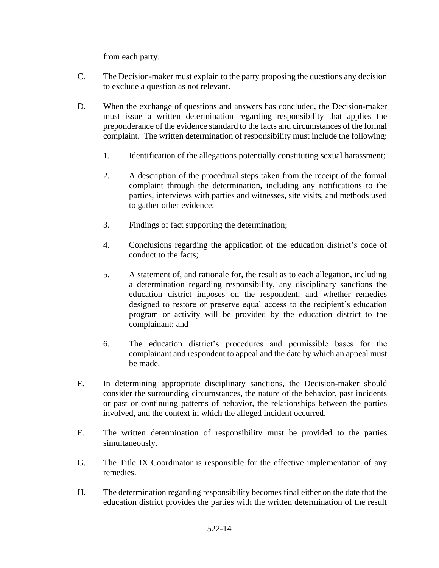from each party.

- C. The Decision-maker must explain to the party proposing the questions any decision to exclude a question as not relevant.
- D. When the exchange of questions and answers has concluded, the Decision-maker must issue a written determination regarding responsibility that applies the preponderance of the evidence standard to the facts and circumstances of the formal complaint. The written determination of responsibility must include the following:
	- 1. Identification of the allegations potentially constituting sexual harassment;
	- 2. A description of the procedural steps taken from the receipt of the formal complaint through the determination, including any notifications to the parties, interviews with parties and witnesses, site visits, and methods used to gather other evidence;
	- 3. Findings of fact supporting the determination;
	- 4. Conclusions regarding the application of the education district's code of conduct to the facts;
	- 5. A statement of, and rationale for, the result as to each allegation, including a determination regarding responsibility, any disciplinary sanctions the education district imposes on the respondent, and whether remedies designed to restore or preserve equal access to the recipient's education program or activity will be provided by the education district to the complainant; and
	- 6. The education district's procedures and permissible bases for the complainant and respondent to appeal and the date by which an appeal must be made.
- E. In determining appropriate disciplinary sanctions, the Decision-maker should consider the surrounding circumstances, the nature of the behavior, past incidents or past or continuing patterns of behavior, the relationships between the parties involved, and the context in which the alleged incident occurred.
- F. The written determination of responsibility must be provided to the parties simultaneously.
- G. The Title IX Coordinator is responsible for the effective implementation of any remedies.
- H. The determination regarding responsibility becomes final either on the date that the education district provides the parties with the written determination of the result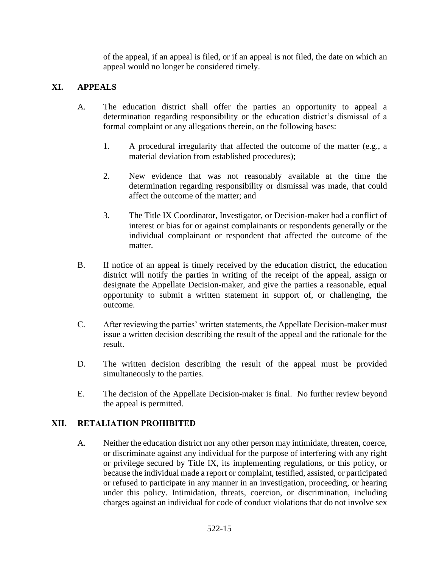of the appeal, if an appeal is filed, or if an appeal is not filed, the date on which an appeal would no longer be considered timely.

### **XI. APPEALS**

- A. The education district shall offer the parties an opportunity to appeal a determination regarding responsibility or the education district's dismissal of a formal complaint or any allegations therein, on the following bases:
	- 1. A procedural irregularity that affected the outcome of the matter (e.g., a material deviation from established procedures);
	- 2. New evidence that was not reasonably available at the time the determination regarding responsibility or dismissal was made, that could affect the outcome of the matter; and
	- 3. The Title IX Coordinator, Investigator, or Decision-maker had a conflict of interest or bias for or against complainants or respondents generally or the individual complainant or respondent that affected the outcome of the matter.
- B. If notice of an appeal is timely received by the education district, the education district will notify the parties in writing of the receipt of the appeal, assign or designate the Appellate Decision-maker, and give the parties a reasonable, equal opportunity to submit a written statement in support of, or challenging, the outcome.
- C. After reviewing the parties' written statements, the Appellate Decision-maker must issue a written decision describing the result of the appeal and the rationale for the result.
- D. The written decision describing the result of the appeal must be provided simultaneously to the parties.
- E. The decision of the Appellate Decision-maker is final. No further review beyond the appeal is permitted.

### **XII. RETALIATION PROHIBITED**

A. Neither the education district nor any other person may intimidate, threaten, coerce, or discriminate against any individual for the purpose of interfering with any right or privilege secured by Title IX, its implementing regulations, or this policy, or because the individual made a report or complaint, testified, assisted, or participated or refused to participate in any manner in an investigation, proceeding, or hearing under this policy. Intimidation, threats, coercion, or discrimination, including charges against an individual for code of conduct violations that do not involve sex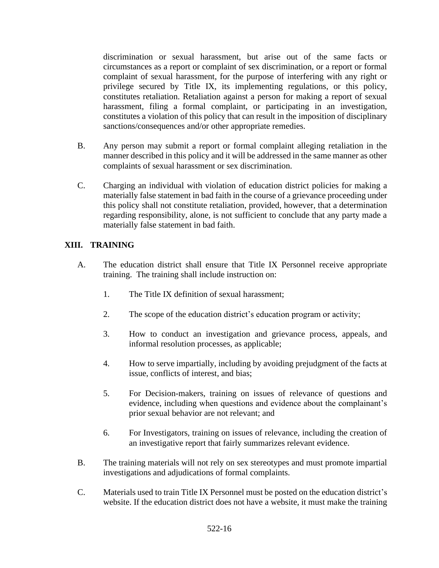discrimination or sexual harassment, but arise out of the same facts or circumstances as a report or complaint of sex discrimination, or a report or formal complaint of sexual harassment, for the purpose of interfering with any right or privilege secured by Title IX, its implementing regulations, or this policy, constitutes retaliation. Retaliation against a person for making a report of sexual harassment, filing a formal complaint, or participating in an investigation, constitutes a violation of this policy that can result in the imposition of disciplinary sanctions/consequences and/or other appropriate remedies.

- B. Any person may submit a report or formal complaint alleging retaliation in the manner described in this policy and it will be addressed in the same manner as other complaints of sexual harassment or sex discrimination.
- C. Charging an individual with violation of education district policies for making a materially false statement in bad faith in the course of a grievance proceeding under this policy shall not constitute retaliation, provided, however, that a determination regarding responsibility, alone, is not sufficient to conclude that any party made a materially false statement in bad faith.

### **XIII. TRAINING**

- A. The education district shall ensure that Title IX Personnel receive appropriate training. The training shall include instruction on:
	- 1. The Title IX definition of sexual harassment;
	- 2. The scope of the education district's education program or activity;
	- 3. How to conduct an investigation and grievance process, appeals, and informal resolution processes, as applicable;
	- 4. How to serve impartially, including by avoiding prejudgment of the facts at issue, conflicts of interest, and bias;
	- 5. For Decision-makers, training on issues of relevance of questions and evidence, including when questions and evidence about the complainant's prior sexual behavior are not relevant; and
	- 6. For Investigators, training on issues of relevance, including the creation of an investigative report that fairly summarizes relevant evidence.
- B. The training materials will not rely on sex stereotypes and must promote impartial investigations and adjudications of formal complaints.
- C. Materials used to train Title IX Personnel must be posted on the education district's website. If the education district does not have a website, it must make the training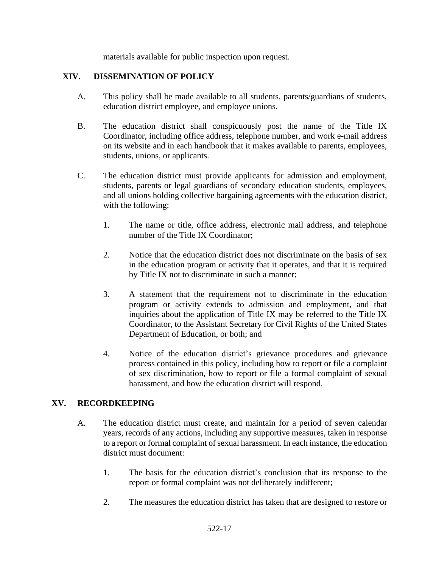materials available for public inspection upon request.

### **XIV. DISSEMINATION OF POLICY**

- A. This policy shall be made available to all students, parents/guardians of students, education district employee, and employee unions.
- B. The education district shall conspicuously post the name of the Title IX Coordinator, including office address, telephone number, and work e-mail address on its website and in each handbook that it makes available to parents, employees, students, unions, or applicants.
- C. The education district must provide applicants for admission and employment, students, parents or legal guardians of secondary education students, employees, and all unions holding collective bargaining agreements with the education district, with the following:
	- 1. The name or title, office address, electronic mail address, and telephone number of the Title IX Coordinator;
	- 2. Notice that the education district does not discriminate on the basis of sex in the education program or activity that it operates, and that it is required by Title IX not to discriminate in such a manner;
	- 3. A statement that the requirement not to discriminate in the education program or activity extends to admission and employment, and that inquiries about the application of Title IX may be referred to the Title IX Coordinator, to the Assistant Secretary for Civil Rights of the United States Department of Education, or both; and
	- 4. Notice of the education district's grievance procedures and grievance process contained in this policy, including how to report or file a complaint of sex discrimination, how to report or file a formal complaint of sexual harassment, and how the education district will respond.

### **XV. RECORDKEEPING**

- A. The education district must create, and maintain for a period of seven calendar years, records of any actions, including any supportive measures, taken in response to a report or formal complaint of sexual harassment. In each instance, the education district must document:
	- 1. The basis for the education district's conclusion that its response to the report or formal complaint was not deliberately indifferent;
	- 2. The measures the education district has taken that are designed to restore or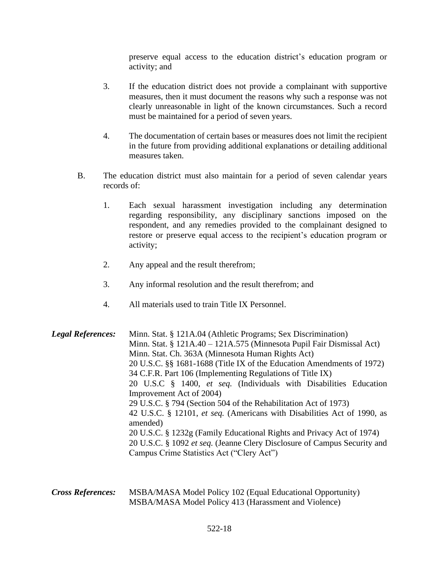preserve equal access to the education district's education program or activity; and

- 3. If the education district does not provide a complainant with supportive measures, then it must document the reasons why such a response was not clearly unreasonable in light of the known circumstances. Such a record must be maintained for a period of seven years.
- 4. The documentation of certain bases or measures does not limit the recipient in the future from providing additional explanations or detailing additional measures taken.
- B. The education district must also maintain for a period of seven calendar years records of:
	- 1. Each sexual harassment investigation including any determination regarding responsibility, any disciplinary sanctions imposed on the respondent, and any remedies provided to the complainant designed to restore or preserve equal access to the recipient's education program or activity;
	- 2. Any appeal and the result therefrom;
	- 3. Any informal resolution and the result therefrom; and
	- 4. All materials used to train Title IX Personnel.

*Legal References:* Minn. Stat. § 121A.04 (Athletic Programs; Sex Discrimination) Minn. Stat. § 121A.40 – 121A.575 (Minnesota Pupil Fair Dismissal Act) Minn. Stat. Ch. 363A (Minnesota Human Rights Act) 20 U.S.C. §§ 1681-1688 (Title IX of the Education Amendments of 1972) 34 C.F.R. Part 106 (Implementing Regulations of Title IX) 20 U.S.C § 1400, *et seq.* (Individuals with Disabilities Education Improvement Act of 2004) 29 U.S.C. § 794 (Section 504 of the Rehabilitation Act of 1973) 42 U.S.C. § 12101, *et seq.* (Americans with Disabilities Act of 1990, as amended) 20 U.S.C. § 1232g (Family Educational Rights and Privacy Act of 1974) 20 U.S.C. § 1092 *et seq.* (Jeanne Clery Disclosure of Campus Security and Campus Crime Statistics Act ("Clery Act")

*Cross References:* MSBA/MASA Model Policy 102 (Equal Educational Opportunity) MSBA/MASA Model Policy 413 (Harassment and Violence)